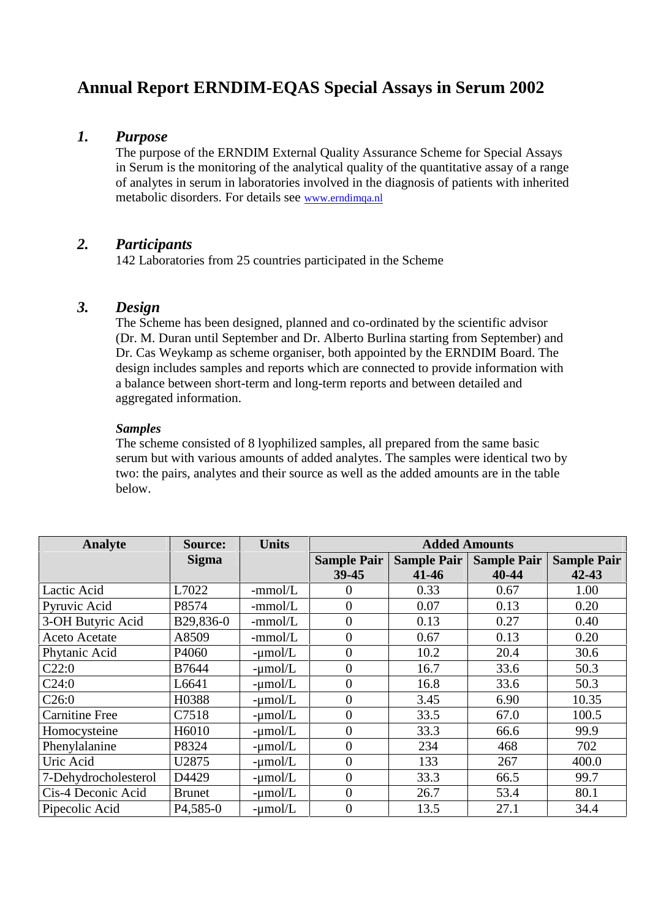# **Annual Report ERNDIM-EQAS Special Assays in Serum 2002**

# *1. Purpose*

The purpose of the ERNDIM External Quality Assurance Scheme for Special Assays in Serum is the monitoring of the analytical quality of the quantitative assay of a range of analytes in serum in laboratories involved in the diagnosis of patients with inherited metabolic disorders. For details see www.erndimqa.nl

# *2. Participants*

142 Laboratories from 25 countries participated in the Scheme

# *3. Design*

The Scheme has been designed, planned and co-ordinated by the scientific advisor (Dr. M. Duran until September and Dr. Alberto Burlina starting from September) and Dr. Cas Weykamp as scheme organiser, both appointed by the ERNDIM Board. The design includes samples and reports which are connected to provide information with a balance between short-term and long-term reports and between detailed and aggregated information.

## *Samples*

The scheme consisted of 8 lyophilized samples, all prepared from the same basic serum but with various amounts of added analytes. The samples were identical two by two: the pairs, analytes and their source as well as the added amounts are in the table below.

| Analyte               | <b>Source:</b>         | <b>Units</b> | <b>Added Amounts</b> |                    |                    |                    |
|-----------------------|------------------------|--------------|----------------------|--------------------|--------------------|--------------------|
|                       | <b>Sigma</b>           |              | <b>Sample Pair</b>   | <b>Sample Pair</b> | <b>Sample Pair</b> | <b>Sample Pair</b> |
|                       |                        |              | 39-45                | $41 - 46$          | 40-44              | $42 - 43$          |
| Lactic Acid           | L7022                  | $-mmol/L$    | $\theta$             | 0.33               | 0.67               | 1.00               |
| Pyruvic Acid          | P8574                  | $-mmol/L$    | $\overline{0}$       | 0.07               | 0.13               | 0.20               |
| 3-OH Butyric Acid     | B29,836-0              | -mmol/L      | $\overline{0}$       | 0.13               | 0.27               | 0.40               |
| <b>Aceto Acetate</b>  | A8509                  | $-mmol/L$    | $\overline{0}$       | 0.67               | 0.13               | 0.20               |
| Phytanic Acid         | P4060                  | $-\mu$ mol/L | $\overline{0}$       | 10.2               | 20.4               | 30.6               |
| C22:0                 | B7644                  | $-\mu$ mol/L | $\overline{0}$       | 16.7               | 33.6               | 50.3               |
| C24:0                 | L6641                  | $-\mu$ mol/L | $\overline{0}$       | 16.8               | 33.6               | 50.3               |
| C26:0                 | H0388                  | $-\mu$ mol/L | $\overline{0}$       | 3.45               | 6.90               | 10.35              |
| <b>Carnitine Free</b> | C7518                  | $-\mu$ mol/L | $\overline{0}$       | 33.5               | 67.0               | 100.5              |
| Homocysteine          | H6010                  | $-\mu$ mol/L | $\overline{0}$       | 33.3               | 66.6               | 99.9               |
| Phenylalanine         | P8324                  | $-\mu$ mol/L | $\overline{0}$       | 234                | 468                | 702                |
| Uric Acid             | U2875                  | $-\mu$ mol/L | $\overline{0}$       | 133                | 267                | 400.0              |
| 7-Dehydrocholesterol  | D4429                  | $-\mu$ mol/L | $\overline{0}$       | 33.3               | 66.5               | 99.7               |
| Cis-4 Deconic Acid    | <b>Brunet</b>          | $-\mu$ mol/L | $\Omega$             | 26.7               | 53.4               | 80.1               |
| Pipecolic Acid        | P <sub>4</sub> , 585-0 | $-\mu$ mol/L | $\overline{0}$       | 13.5               | 27.1               | 34.4               |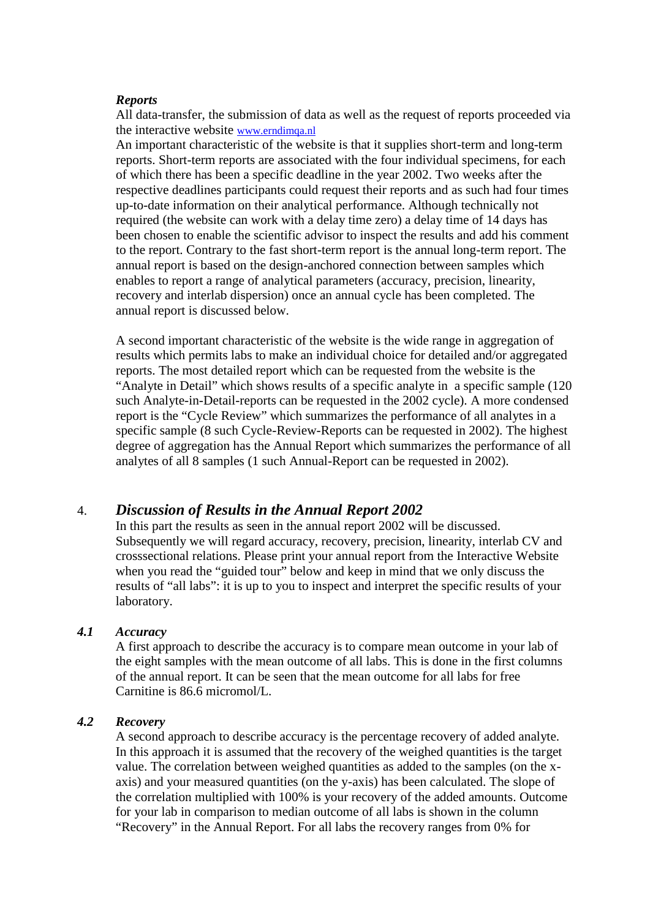#### *Reports*

All data-transfer, the submission of data as well as the request of reports proceeded via the interactive website www.erndimqa.nl

An important characteristic of the website is that it supplies short-term and long-term reports. Short-term reports are associated with the four individual specimens, for each of which there has been a specific deadline in the year 2002. Two weeks after the respective deadlines participants could request their reports and as such had four times up-to-date information on their analytical performance. Although technically not required (the website can work with a delay time zero) a delay time of 14 days has been chosen to enable the scientific advisor to inspect the results and add his comment to the report. Contrary to the fast short-term report is the annual long-term report. The annual report is based on the design-anchored connection between samples which enables to report a range of analytical parameters (accuracy, precision, linearity, recovery and interlab dispersion) once an annual cycle has been completed. The annual report is discussed below.

A second important characteristic of the website is the wide range in aggregation of results which permits labs to make an individual choice for detailed and/or aggregated reports. The most detailed report which can be requested from the website is the "Analyte in Detail" which shows results of a specific analyte in a specific sample (120 such Analyte-in-Detail-reports can be requested in the 2002 cycle). A more condensed report is the "Cycle Review" which summarizes the performance of all analytes in a specific sample (8 such Cycle-Review-Reports can be requested in 2002). The highest degree of aggregation has the Annual Report which summarizes the performance of all analytes of all 8 samples (1 such Annual-Report can be requested in 2002).

## 4. *Discussion of Results in the Annual Report 2002*

In this part the results as seen in the annual report 2002 will be discussed. Subsequently we will regard accuracy, recovery, precision, linearity, interlab CV and crosssectional relations. Please print your annual report from the Interactive Website when you read the "guided tour" below and keep in mind that we only discuss the results of "all labs": it is up to you to inspect and interpret the specific results of your laboratory.

## *4.1 Accuracy*

A first approach to describe the accuracy is to compare mean outcome in your lab of the eight samples with the mean outcome of all labs. This is done in the first columns of the annual report. It can be seen that the mean outcome for all labs for free Carnitine is 86.6 micromol/L.

#### *4.2 Recovery*

A second approach to describe accuracy is the percentage recovery of added analyte. In this approach it is assumed that the recovery of the weighed quantities is the target value. The correlation between weighed quantities as added to the samples (on the x axis) and your measured quantities (on the y-axis) has been calculated. The slope of the correlation multiplied with 100% is your recovery of the added amounts. Outcome for your lab in comparison to median outcome of all labs is shown in the column "Recovery" in the Annual Report. For all labs the recovery ranges from 0% for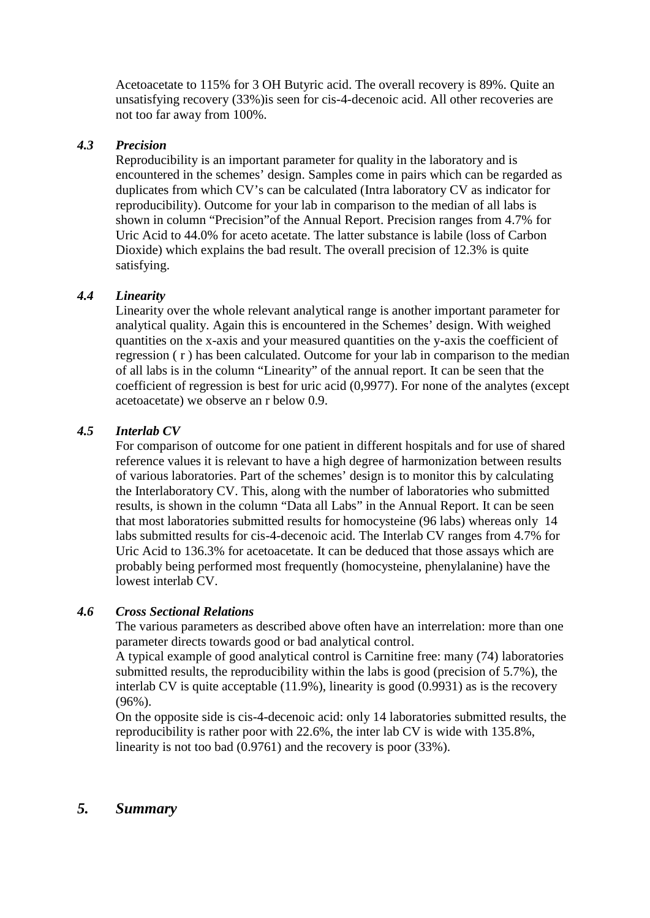Acetoacetate to 115% for 3 OH Butyric acid. The overall recovery is 89%. Quite an unsatisfying recovery (33%)is seen for cis-4-decenoic acid. All other recoveries are not too far away from 100%.

## *4.3 Precision*

Reproducibility is an important parameter for quality in the laboratory and is encountered in the schemes' design. Samples come in pairs which can be regarded as duplicates from which CV's can be calculated (Intra laboratory CV as indicator for reproducibility). Outcome for your lab in comparison to the median of all labs is shown in column "Precision"of the Annual Report. Precision ranges from 4.7% for Uric Acid to 44.0% for aceto acetate. The latter substance is labile (loss of Carbon Dioxide) which explains the bad result. The overall precision of 12.3% is quite satisfying.

## *4.4 Linearity*

Linearity over the whole relevant analytical range is another important parameter for analytical quality. Again this is encountered in the Schemes' design. With weighed quantities on the x-axis and your measured quantities on the y-axis the coefficient of regression ( r ) has been calculated. Outcome for your lab in comparison to the median of all labs is in the column "Linearity" of the annual report. It can be seen that the coefficient of regression is best for uric acid (0,9977). For none of the analytes (except acetoacetate) we observe an r below 0.9.

## *4.5 Interlab CV*

For comparison of outcome for one patient in different hospitals and for use of shared reference values it is relevant to have a high degree of harmonization between results of various laboratories. Part of the schemes' design is to monitor this by calculating the Interlaboratory CV. This, along with the number of laboratories who submitted results, is shown in the column "Data all Labs" in the Annual Report. It can be seen that most laboratories submitted results for homocysteine (96 labs) whereas only 14 labs submitted results for cis-4-decenoic acid. The Interlab CV ranges from 4.7% for Uric Acid to 136.3% for acetoacetate. It can be deduced that those assays which are probably being performed most frequently (homocysteine, phenylalanine) have the lowest interlab CV.

## *4.6 Cross Sectional Relations*

The various parameters as described above often have an interrelation: more than one parameter directs towards good or bad analytical control.

A typical example of good analytical control is Carnitine free: many (74) laboratories submitted results, the reproducibility within the labs is good (precision of 5.7%), the interlab CV is quite acceptable (11.9%), linearity is good (0.9931) as is the recovery (96%).

On the opposite side is cis-4-decenoic acid: only 14 laboratories submitted results, the reproducibility is rather poor with 22.6%, the inter lab CV is wide with 135.8%, linearity is not too bad (0.9761) and the recovery is poor (33%).

## *5. Summary*